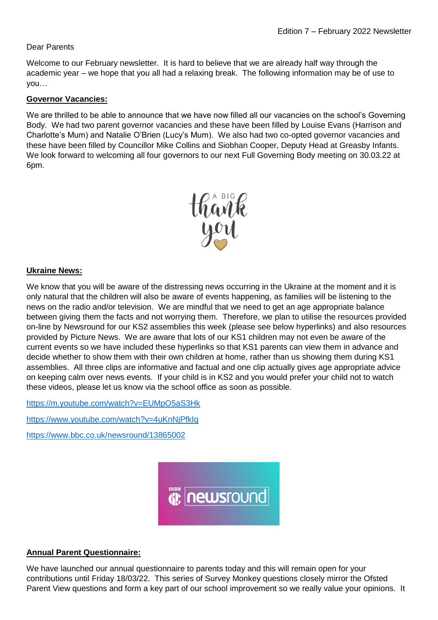# Dear Parents

Welcome to our February newsletter. It is hard to believe that we are already half way through the academic year – we hope that you all had a relaxing break. The following information may be of use to you…

## **Governor Vacancies:**

We are thrilled to be able to announce that we have now filled all our vacancies on the school's Governing Body. We had two parent governor vacancies and these have been filled by Louise Evans (Harrison and Charlotte's Mum) and Natalie O'Brien (Lucy's Mum). We also had two co-opted governor vacancies and these have been filled by Councillor Mike Collins and Siobhan Cooper, Deputy Head at Greasby Infants. We look forward to welcoming all four governors to our next Full Governing Body meeting on 30.03.22 at 6pm.



## **Ukraine News:**

We know that you will be aware of the distressing news occurring in the Ukraine at the moment and it is only natural that the children will also be aware of events happening, as families will be listening to the news on the radio and/or television. We are mindful that we need to get an age appropriate balance between giving them the facts and not worrying them. Therefore, we plan to utilise the resources provided on-line by Newsround for our KS2 assemblies this week (please see below hyperlinks) and also resources provided by Picture News. We are aware that lots of our KS1 children may not even be aware of the current events so we have included these hyperlinks so that KS1 parents can view them in advance and decide whether to show them with their own children at home, rather than us showing them during KS1 assemblies. All three clips are informative and factual and one clip actually gives age appropriate advice on keeping calm over news events. If your child is in KS2 and you would prefer your child not to watch these videos, please let us know via the school office as soon as possible.

<https://m.youtube.com/watch?v=EUMpO5aS3Hk>

<https://www.youtube.com/watch?v=4uKnNjPfkIg>

<https://www.bbc.co.uk/newsround/13865002>



# **Annual Parent Questionnaire:**

We have launched our annual questionnaire to parents today and this will remain open for your contributions until Friday 18/03/22. This series of Survey Monkey questions closely mirror the Ofsted Parent View questions and form a key part of our school improvement so we really value your opinions. It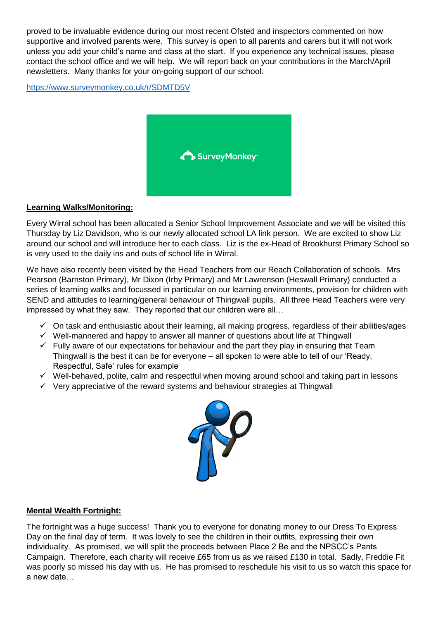proved to be invaluable evidence during our most recent Ofsted and inspectors commented on how supportive and involved parents were. This survey is open to all parents and carers but it will not work unless you add your child's name and class at the start. If you experience any technical issues, please contact the school office and we will help. We will report back on your contributions in the March/April newsletters. Many thanks for your on-going support of our school.

<https://www.surveymonkey.co.uk/r/SDMTD5V>



## **Learning Walks/Monitoring:**

Every Wirral school has been allocated a Senior School Improvement Associate and we will be visited this Thursday by Liz Davidson, who is our newly allocated school LA link person. We are excited to show Liz around our school and will introduce her to each class. Liz is the ex-Head of Brookhurst Primary School so is very used to the daily ins and outs of school life in Wirral.

We have also recently been visited by the Head Teachers from our Reach Collaboration of schools. Mrs Pearson (Barnston Primary), Mr Dixon (Irby Primary) and Mr Lawrenson (Heswall Primary) conducted a series of learning walks and focussed in particular on our learning environments, provision for children with SEND and attitudes to learning/general behaviour of Thingwall pupils. All three Head Teachers were very impressed by what they saw. They reported that our children were all…

- $\checkmark$  On task and enthusiastic about their learning, all making progress, regardless of their abilities/ages
- $\checkmark$  Well-mannered and happy to answer all manner of questions about life at Thingwall
- $\checkmark$  Fully aware of our expectations for behaviour and the part they play in ensuring that Team Thingwall is the best it can be for everyone – all spoken to were able to tell of our 'Ready, Respectful, Safe' rules for example
- $\checkmark$  Well-behaved, polite, calm and respectful when moving around school and taking part in lessons
- $\checkmark$  Very appreciative of the reward systems and behaviour strategies at Thingwall



#### **Mental Wealth Fortnight:**

The fortnight was a huge success! Thank you to everyone for donating money to our Dress To Express Day on the final day of term. It was lovely to see the children in their outfits, expressing their own individuality. As promised, we will split the proceeds between Place 2 Be and the NPSCC's Pants Campaign. Therefore, each charity will receive £65 from us as we raised £130 in total. Sadly, Freddie Fit was poorly so missed his day with us. He has promised to reschedule his visit to us so watch this space for a new date…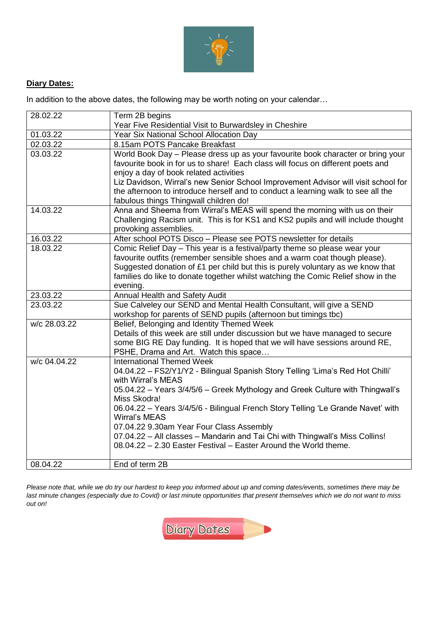

# **Diary Dates:**

In addition to the above dates, the following may be worth noting on your calendar…

| 28.02.22     | Term 2B begins                                                                     |  |  |
|--------------|------------------------------------------------------------------------------------|--|--|
|              | Year Five Residential Visit to Burwardsley in Cheshire                             |  |  |
| 01.03.22     | Year Six National School Allocation Day                                            |  |  |
| 02.03.22     | 8.15am POTS Pancake Breakfast                                                      |  |  |
| 03.03.22     | World Book Day - Please dress up as your favourite book character or bring your    |  |  |
|              | favourite book in for us to share! Each class will focus on different poets and    |  |  |
|              | enjoy a day of book related activities                                             |  |  |
|              | Liz Davidson, Wirral's new Senior School Improvement Advisor will visit school for |  |  |
|              | the afternoon to introduce herself and to conduct a learning walk to see all the   |  |  |
|              | fabulous things Thingwall children do!                                             |  |  |
| 14.03.22     | Anna and Sheema from Wirral's MEAS will spend the morning with us on their         |  |  |
|              | Challenging Racism unit. This is for KS1 and KS2 pupils and will include thought   |  |  |
|              | provoking assemblies.                                                              |  |  |
| 16.03.22     | After school POTS Disco - Please see POTS newsletter for details                   |  |  |
| 18.03.22     | Comic Relief Day - This year is a festival/party theme so please wear your         |  |  |
|              | favourite outfits (remember sensible shoes and a warm coat though please).         |  |  |
|              | Suggested donation of £1 per child but this is purely voluntary as we know that    |  |  |
|              | families do like to donate together whilst watching the Comic Relief show in the   |  |  |
|              | evening.                                                                           |  |  |
| 23.03.22     | Annual Health and Safety Audit                                                     |  |  |
| 23.03.22     | Sue Calveley our SEND and Mental Health Consultant, will give a SEND               |  |  |
|              | workshop for parents of SEND pupils (afternoon but timings tbc)                    |  |  |
| w/c 28.03.22 | Belief, Belonging and Identity Themed Week                                         |  |  |
|              | Details of this week are still under discussion but we have managed to secure      |  |  |
|              | some BIG RE Day funding. It is hoped that we will have sessions around RE,         |  |  |
|              | PSHE, Drama and Art. Watch this space                                              |  |  |
| w/c 04.04.22 | <b>International Themed Week</b>                                                   |  |  |
|              | 04.04.22 - FS2/Y1/Y2 - Bilingual Spanish Story Telling 'Lima's Red Hot Chilli'     |  |  |
|              | with Wirral's MEAS                                                                 |  |  |
|              | 05.04.22 - Years 3/4/5/6 - Greek Mythology and Greek Culture with Thingwall's      |  |  |
|              | Miss Skodra!                                                                       |  |  |
|              | 06.04.22 - Years 3/4/5/6 - Bilingual French Story Telling 'Le Grande Navet' with   |  |  |
|              | <b>Wirral's MEAS</b>                                                               |  |  |
|              | 07.04.22 9.30am Year Four Class Assembly                                           |  |  |
|              | 07.04.22 - All classes - Mandarin and Tai Chi with Thingwall's Miss Collins!       |  |  |
|              | 08.04.22 - 2.30 Easter Festival - Easter Around the World theme.                   |  |  |
|              |                                                                                    |  |  |
| 08.04.22     | End of term 2B                                                                     |  |  |

*Please note that, while we do try our hardest to keep you informed about up and coming dates/events, sometimes there may be last minute changes (especially due to Covid) or last minute opportunities that present themselves which we do not want to miss out on!*

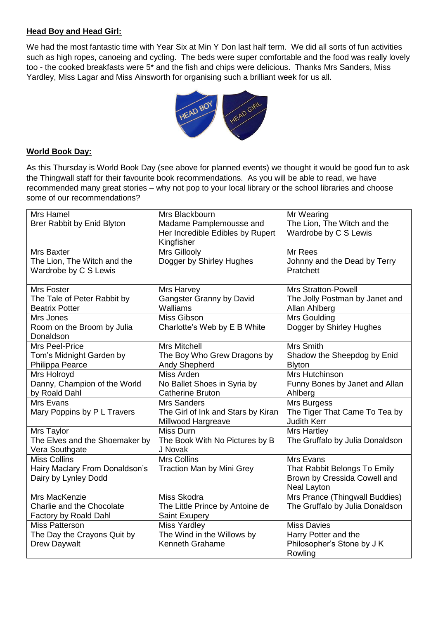# **Head Boy and Head Girl:**

We had the most fantastic time with Year Six at Min Y Don last half term. We did all sorts of fun activities such as high ropes, canoeing and cycling. The beds were super comfortable and the food was really lovely too - the cooked breakfasts were 5\* and the fish and chips were delicious. Thanks Mrs Sanders, Miss Yardley, Miss Lagar and Miss Ainsworth for organising such a brilliant week for us all.



#### **World Book Day:**

As this Thursday is World Book Day (see above for planned events) we thought it would be good fun to ask the Thingwall staff for their favourite book recommendations. As you will be able to read, we have recommended many great stories – why not pop to your local library or the school libraries and choose some of our recommendations?

| Mrs Hamel                      | Mrs Blackbourn                     | Mr Wearing                      |
|--------------------------------|------------------------------------|---------------------------------|
| Brer Rabbit by Enid Blyton     | Madame Pamplemousse and            | The Lion, The Witch and the     |
|                                | Her Incredible Edibles by Rupert   | Wardrobe by C S Lewis           |
|                                | Kingfisher                         |                                 |
| Mrs Baxter                     | Mrs Gillooly                       | Mr Rees                         |
| The Lion, The Witch and the    | Dogger by Shirley Hughes           | Johnny and the Dead by Terry    |
| Wardrobe by C S Lewis          |                                    | Pratchett                       |
|                                |                                    |                                 |
| Mrs Foster                     | Mrs Harvey                         | <b>Mrs Stratton-Powell</b>      |
|                                |                                    |                                 |
| The Tale of Peter Rabbit by    | <b>Gangster Granny by David</b>    | The Jolly Postman by Janet and  |
| <b>Beatrix Potter</b>          | Walliams                           | Allan Ahlberg                   |
| Mrs Jones                      | Miss Gibson                        | Mrs Goulding                    |
| Room on the Broom by Julia     | Charlotte's Web by E B White       | Dogger by Shirley Hughes        |
| Donaldson                      |                                    |                                 |
| Mrs Peel-Price                 | Mrs Mitchell                       | <b>Mrs Smith</b>                |
| Tom's Midnight Garden by       | The Boy Who Grew Dragons by        | Shadow the Sheepdog by Enid     |
| Philippa Pearce                | Andy Shepherd                      | <b>Blyton</b>                   |
| Mrs Holroyd                    | Miss Arden                         | Mrs Hutchinson                  |
| Danny, Champion of the World   | No Ballet Shoes in Syria by        | Funny Bones by Janet and Allan  |
| by Roald Dahl                  | <b>Catherine Bruton</b>            | Ahlberg                         |
| Mrs Evans                      | <b>Mrs Sanders</b>                 | Mrs Burgess                     |
| Mary Poppins by P L Travers    | The Girl of Ink and Stars by Kiran | The Tiger That Came To Tea by   |
|                                | Millwood Hargreave                 | <b>Judith Kerr</b>              |
| Mrs Taylor                     | <b>Miss Durn</b>                   | Mrs Hartley                     |
| The Elves and the Shoemaker by | The Book With No Pictures by B     | The Gruffalo by Julia Donaldson |
| Vera Southgate                 | J Novak                            |                                 |
| <b>Miss Collins</b>            | <b>Mrs Collins</b>                 | Mrs Evans                       |
| Hairy Maclary From Donaldson's | <b>Traction Man by Mini Grey</b>   | That Rabbit Belongs To Emily    |
| Dairy by Lynley Dodd           |                                    | Brown by Cressida Cowell and    |
|                                |                                    | Neal Layton                     |
| Mrs MacKenzie                  | Miss Skodra                        | Mrs Prance (Thingwall Buddies)  |
| Charlie and the Chocolate      | The Little Prince by Antoine de    | The Gruffalo by Julia Donaldson |
| Factory by Roald Dahl          | Saint Exupery                      |                                 |
| Miss Patterson                 | Miss Yardley                       | <b>Miss Davies</b>              |
|                                |                                    |                                 |
| The Day the Crayons Quit by    | The Wind in the Willows by         | Harry Potter and the            |
| <b>Drew Daywalt</b>            | Kenneth Grahame                    | Philosopher's Stone by J K      |
|                                |                                    | Rowling                         |